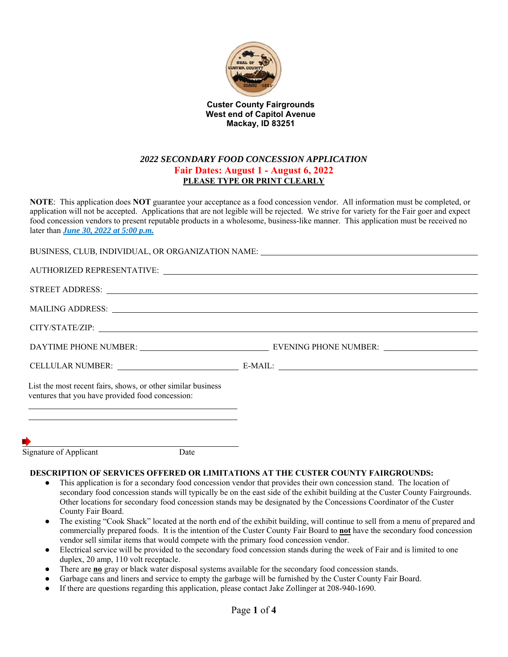

**Custer County Fairgrounds West end of Capitol Avenue Mackay, ID 83251**

## *2022 SECONDARY FOOD CONCESSION APPLICATION*  **Fair Dates: August 1 - August 6, 2022 PLEASE TYPE OR PRINT CLEARLY**

**NOTE**: This application does **NOT** guarantee your acceptance as a food concession vendor. All information must be completed, or application will not be accepted. Applications that are not legible will be rejected. We strive for variety for the Fair goer and expect food concession vendors to present reputable products in a wholesome, business-like manner. This application must be received no later than *June 30, 2022 at 5:00 p.m.* 

| BUSINESS, CLUB, INDIVIDUAL, OR ORGANIZATION NAME: University of the set of the set of the set of the set of the set of the set of the set of the set of the set of the set of the set of the set of the set of the set of the              |  |
|--------------------------------------------------------------------------------------------------------------------------------------------------------------------------------------------------------------------------------------------|--|
|                                                                                                                                                                                                                                            |  |
|                                                                                                                                                                                                                                            |  |
|                                                                                                                                                                                                                                            |  |
|                                                                                                                                                                                                                                            |  |
|                                                                                                                                                                                                                                            |  |
|                                                                                                                                                                                                                                            |  |
| List the most recent fairs, shows, or other similar business<br>ventures that you have provided food concession:<br><u> 1989 - Johann Barn, mars ann an t-Amhainn an t-Amhainn an t-Amhainn an t-Amhainn an t-Amhainn an t-Amhainn an </u> |  |
| <u> 1989 - Johann Barn, mars and de Brasilian (b. 1989)</u>                                                                                                                                                                                |  |
|                                                                                                                                                                                                                                            |  |
|                                                                                                                                                                                                                                            |  |

Signature of Applicant Date

#### **DESCRIPTION OF SERVICES OFFERED OR LIMITATIONS AT THE CUSTER COUNTY FAIRGROUNDS:**

- This application is for a secondary food concession vendor that provides their own concession stand. The location of secondary food concession stands will typically be on the east side of the exhibit building at the Custer County Fairgrounds. Other locations for secondary food concession stands may be designated by the Concessions Coordinator of the Custer County Fair Board.
- The existing "Cook Shack" located at the north end of the exhibit building, will continue to sell from a menu of prepared and commercially prepared foods. It is the intention of the Custer County Fair Board to **not** have the secondary food concession vendor sell similar items that would compete with the primary food concession vendor.
- Electrical service will be provided to the secondary food concession stands during the week of Fair and is limited to one duplex, 20 amp, 110 volt receptacle.
- There are **no** gray or black water disposal systems available for the secondary food concession stands.
- Garbage cans and liners and service to empty the garbage will be furnished by the Custer County Fair Board.
- If there are questions regarding this application, please contact Jake Zollinger at 208-940-1690.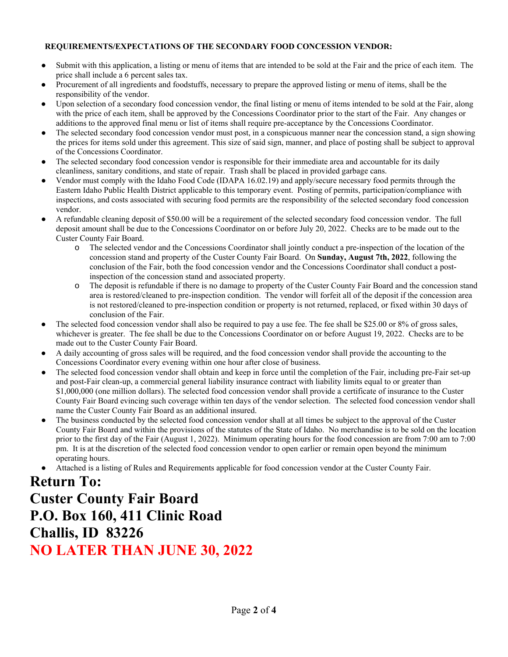### **REQUIREMENTS/EXPECTATIONS OF THE SECONDARY FOOD CONCESSION VENDOR:**

- Submit with this application, a listing or menu of items that are intended to be sold at the Fair and the price of each item. The price shall include a 6 percent sales tax.
- Procurement of all ingredients and foodstuffs, necessary to prepare the approved listing or menu of items, shall be the responsibility of the vendor.
- Upon selection of a secondary food concession vendor, the final listing or menu of items intended to be sold at the Fair, along with the price of each item, shall be approved by the Concessions Coordinator prior to the start of the Fair. Any changes or additions to the approved final menu or list of items shall require pre-acceptance by the Concessions Coordinator.
- The selected secondary food concession vendor must post, in a conspicuous manner near the concession stand, a sign showing the prices for items sold under this agreement. This size of said sign, manner, and place of posting shall be subject to approval of the Concessions Coordinator.
- The selected secondary food concession vendor is responsible for their immediate area and accountable for its daily cleanliness, sanitary conditions, and state of repair. Trash shall be placed in provided garbage cans.
- Vendor must comply with the Idaho Food Code (IDAPA 16.02.19) and apply/secure necessary food permits through the Eastern Idaho Public Health District applicable to this temporary event. Posting of permits, participation/compliance with inspections, and costs associated with securing food permits are the responsibility of the selected secondary food concession vendor.
- A refundable cleaning deposit of \$50.00 will be a requirement of the selected secondary food concession vendor. The full deposit amount shall be due to the Concessions Coordinator on or before July 20, 2022. Checks are to be made out to the Custer County Fair Board.
	- o The selected vendor and the Concessions Coordinator shall jointly conduct a pre-inspection of the location of the concession stand and property of the Custer County Fair Board. On **Sunday, August 7th, 2022**, following the conclusion of the Fair, both the food concession vendor and the Concessions Coordinator shall conduct a postinspection of the concession stand and associated property.
	- o The deposit is refundable if there is no damage to property of the Custer County Fair Board and the concession stand area is restored/cleaned to pre-inspection condition. The vendor will forfeit all of the deposit if the concession area is not restored/cleaned to pre-inspection condition or property is not returned, replaced, or fixed within 30 days of conclusion of the Fair.
- The selected food concession vendor shall also be required to pay a use fee. The fee shall be \$25.00 or 8% of gross sales, whichever is greater. The fee shall be due to the Concessions Coordinator on or before August 19, 2022. Checks are to be made out to the Custer County Fair Board.
- A daily accounting of gross sales will be required, and the food concession vendor shall provide the accounting to the Concessions Coordinator every evening within one hour after close of business.
- The selected food concession vendor shall obtain and keep in force until the completion of the Fair, including pre-Fair set-up and post-Fair clean-up, a commercial general liability insurance contract with liability limits equal to or greater than \$1,000,000 (one million dollars). The selected food concession vendor shall provide a certificate of insurance to the Custer County Fair Board evincing such coverage within ten days of the vendor selection. The selected food concession vendor shall name the Custer County Fair Board as an additional insured.
- The business conducted by the selected food concession vendor shall at all times be subject to the approval of the Custer County Fair Board and within the provisions of the statutes of the State of Idaho. No merchandise is to be sold on the location prior to the first day of the Fair (August 1, 2022). Minimum operating hours for the food concession are from 7:00 am to 7:00 pm. It is at the discretion of the selected food concession vendor to open earlier or remain open beyond the minimum operating hours.
- Attached is a listing of Rules and Requirements applicable for food concession vendor at the Custer County Fair.

# **Return To: Custer County Fair Board P.O. Box 160, 411 Clinic Road Challis, ID 83226 NO LATER THAN JUNE 30, 2022**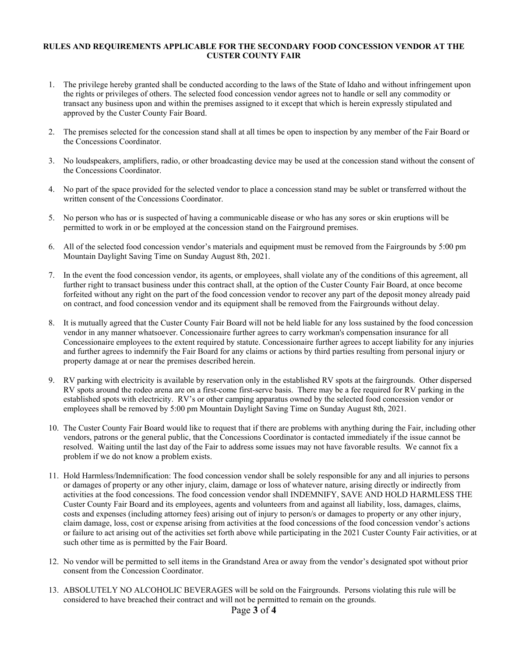#### **RULES AND REQUIREMENTS APPLICABLE FOR THE SECONDARY FOOD CONCESSION VENDOR AT THE CUSTER COUNTY FAIR**

- 1. The privilege hereby granted shall be conducted according to the laws of the State of Idaho and without infringement upon the rights or privileges of others. The selected food concession vendor agrees not to handle or sell any commodity or transact any business upon and within the premises assigned to it except that which is herein expressly stipulated and approved by the Custer County Fair Board.
- 2. The premises selected for the concession stand shall at all times be open to inspection by any member of the Fair Board or the Concessions Coordinator.
- 3. No loudspeakers, amplifiers, radio, or other broadcasting device may be used at the concession stand without the consent of the Concessions Coordinator.
- 4. No part of the space provided for the selected vendor to place a concession stand may be sublet or transferred without the written consent of the Concessions Coordinator.
- 5. No person who has or is suspected of having a communicable disease or who has any sores or skin eruptions will be permitted to work in or be employed at the concession stand on the Fairground premises.
- 6. All of the selected food concession vendor's materials and equipment must be removed from the Fairgrounds by 5:00 pm Mountain Daylight Saving Time on Sunday August 8th, 2021.
- 7. In the event the food concession vendor, its agents, or employees, shall violate any of the conditions of this agreement, all further right to transact business under this contract shall, at the option of the Custer County Fair Board, at once become forfeited without any right on the part of the food concession vendor to recover any part of the deposit money already paid on contract, and food concession vendor and its equipment shall be removed from the Fairgrounds without delay.
- 8. It is mutually agreed that the Custer County Fair Board will not be held liable for any loss sustained by the food concession vendor in any manner whatsoever. Concessionaire further agrees to carry workman's compensation insurance for all Concessionaire employees to the extent required by statute. Concessionaire further agrees to accept liability for any injuries and further agrees to indemnify the Fair Board for any claims or actions by third parties resulting from personal injury or property damage at or near the premises described herein.
- 9. RV parking with electricity is available by reservation only in the established RV spots at the fairgrounds. Other dispersed RV spots around the rodeo arena are on a first-come first-serve basis. There may be a fee required for RV parking in the established spots with electricity. RV's or other camping apparatus owned by the selected food concession vendor or employees shall be removed by 5:00 pm Mountain Daylight Saving Time on Sunday August 8th, 2021.
- 10. The Custer County Fair Board would like to request that if there are problems with anything during the Fair, including other vendors, patrons or the general public, that the Concessions Coordinator is contacted immediately if the issue cannot be resolved. Waiting until the last day of the Fair to address some issues may not have favorable results. We cannot fix a problem if we do not know a problem exists.
- 11. Hold Harmless/Indemnification: The food concession vendor shall be solely responsible for any and all injuries to persons or damages of property or any other injury, claim, damage or loss of whatever nature, arising directly or indirectly from activities at the food concessions. The food concession vendor shall INDEMNIFY, SAVE AND HOLD HARMLESS THE Custer County Fair Board and its employees, agents and volunteers from and against all liability, loss, damages, claims, costs and expenses (including attorney fees) arising out of injury to person/s or damages to property or any other injury, claim damage, loss, cost or expense arising from activities at the food concessions of the food concession vendor's actions or failure to act arising out of the activities set forth above while participating in the 2021 Custer County Fair activities, or at such other time as is permitted by the Fair Board.
- 12. No vendor will be permitted to sell items in the Grandstand Area or away from the vendor's designated spot without prior consent from the Concession Coordinator.
- 13. ABSOLUTELY NO ALCOHOLIC BEVERAGES will be sold on the Fairgrounds. Persons violating this rule will be considered to have breached their contract and will not be permitted to remain on the grounds.